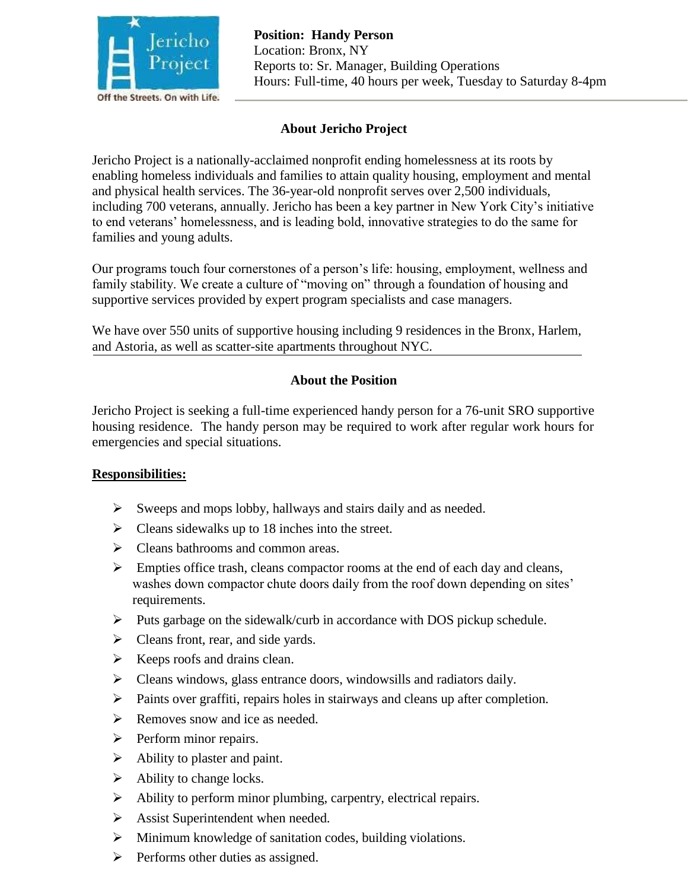

# **About Jericho Project**

Jericho Project is a nationally-acclaimed nonprofit ending homelessness at its roots by enabling homeless individuals and families to attain quality housing, employment and mental and physical health services. The 36-year-old nonprofit serves over 2,500 individuals, including 700 veterans, annually. Jericho has been a key partner in New York City's initiative to end veterans' homelessness, and is leading bold, innovative strategies to do the same for families and young adults.

Our programs touch four cornerstones of a person's life: housing, employment, wellness and family stability. We create a culture of "moving on" through a foundation of housing and supportive services provided by expert program specialists and case managers.

We have over 550 units of supportive housing including 9 residences in the Bronx, Harlem, and Astoria, as well as scatter-site apartments throughout NYC.

## **About the Position**

Jericho Project is seeking a full-time experienced handy person for a 76-unit SRO supportive housing residence. The handy person may be required to work after regular work hours for emergencies and special situations.

### **Responsibilities:**

- $\triangleright$  Sweeps and mops lobby, hallways and stairs daily and as needed.
- $\triangleright$  Cleans sidewalks up to 18 inches into the street.
- $\triangleright$  Cleans bathrooms and common areas.
- $\triangleright$  Empties office trash, cleans compactor rooms at the end of each day and cleans, washes down compactor chute doors daily from the roof down depending on sites' requirements.
- $\triangleright$  Puts garbage on the sidewalk/curb in accordance with DOS pickup schedule.
- $\triangleright$  Cleans front, rear, and side yards.
- $\triangleright$  Keeps roofs and drains clean.
- $\triangleright$  Cleans windows, glass entrance doors, windowsills and radiators daily.
- $\triangleright$  Paints over graffiti, repairs holes in stairways and cleans up after completion.
- $\triangleright$  Removes snow and ice as needed.
- $\triangleright$  Perform minor repairs.
- $\triangleright$  Ability to plaster and paint.
- $\triangleright$  Ability to change locks.
- $\triangleright$  Ability to perform minor plumbing, carpentry, electrical repairs.
- $\triangleright$  Assist Superintendent when needed.
- $\triangleright$  Minimum knowledge of sanitation codes, building violations.
- $\triangleright$  Performs other duties as assigned.